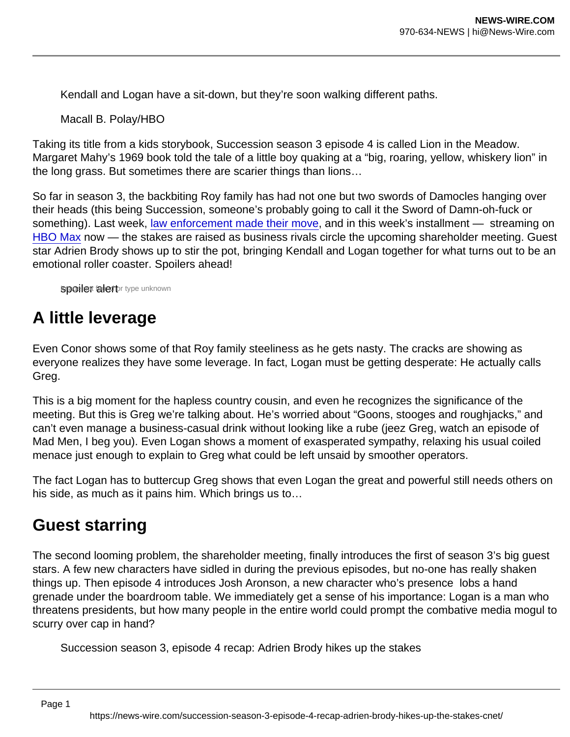Kendall and Logan have a sit-down, but they're soon walking different paths.

Macall B. Polay/HBO

Taking its title from a kids storybook, Succession season 3 episode 4 is called Lion in the Meadow. Margaret Mahy's 1969 book told the tale of a little boy quaking at a "big, roaring, yellow, whiskery lion" in the long grass. But sometimes there are scarier things than lions…

So far in season 3, the backbiting Roy family has had not one but two swords of Damocles hanging over their heads (this being Succession, someone's probably going to call it the Sword of Damn-oh-fuck or something). Last week, [law enforcement made their move](http://www.cnet.com/news/succession-season-3-episode-3-the-disruption-recap-salty-moves-and-happy-headspaces/), and in this week's installment — streaming on [HBO Max](https://www.cnet.com/news/hbo-max-a-half-off-deal-is-ending-plus-movies-shows-and-everything-else-to-know/) now — the stakes are raised as business rivals circle the upcoming shareholder meeting. Guest star Adrien Brody shows up to stir the pot, bringing Kendall and Logan together for what turns out to be an emotional roller coaster. Spoilers ahead!

**spoiler alert** rype unknown

## A little leverage

Even Conor shows some of that Roy family steeliness as he gets nasty. The cracks are showing as everyone realizes they have some leverage. In fact, Logan must be getting desperate: He actually calls Greg.

This is a big moment for the hapless country cousin, and even he recognizes the significance of the meeting. But this is Greg we're talking about. He's worried about "Goons, stooges and roughjacks," and can't even manage a business-casual drink without looking like a rube (jeez Greg, watch an episode of Mad Men, I beg you). Even Logan shows a moment of exasperated sympathy, relaxing his usual coiled menace just enough to explain to Greg what could be left unsaid by smoother operators.

The fact Logan has to buttercup Greg shows that even Logan the great and powerful still needs others on his side, as much as it pains him. Which brings us to…

### Guest starring

The second looming problem, the shareholder meeting, finally introduces the first of season 3's big guest stars. A few new characters have sidled in during the previous episodes, but no-one has really shaken things up. Then episode 4 introduces Josh Aronson, a new character who's presence lobs a hand grenade under the boardroom table. We immediately get a sense of his importance: Logan is a man who threatens presidents, but how many people in the entire world could prompt the combative media mogul to scurry over cap in hand?

Succession season 3, episode 4 recap: Adrien Brody hikes up the stakes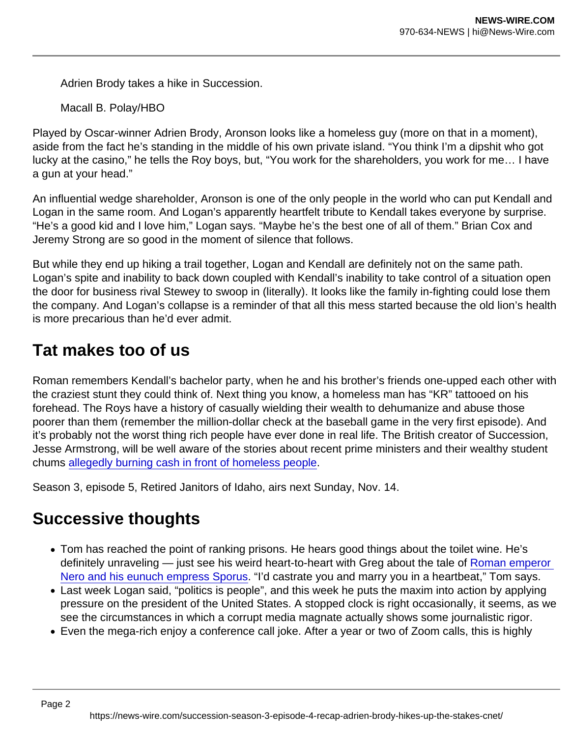Adrien Brody takes a hike in Succession.

Macall B. Polay/HBO

Played by Oscar-winner Adrien Brody, Aronson looks like a homeless guy (more on that in a moment), aside from the fact he's standing in the middle of his own private island. "You think I'm a dipshit who got lucky at the casino," he tells the Roy boys, but, "You work for the shareholders, you work for me… I have a gun at your head."

An influential wedge shareholder, Aronson is one of the only people in the world who can put Kendall and Logan in the same room. And Logan's apparently heartfelt tribute to Kendall takes everyone by surprise. "He's a good kid and I love him," Logan says. "Maybe he's the best one of all of them." Brian Cox and Jeremy Strong are so good in the moment of silence that follows.

But while they end up hiking a trail together, Logan and Kendall are definitely not on the same path. Logan's spite and inability to back down coupled with Kendall's inability to take control of a situation open the door for business rival Stewey to swoop in (literally). It looks like the family in-fighting could lose them the company. And Logan's collapse is a reminder of that all this mess started because the old lion's health is more precarious than he'd ever admit.

### Tat makes too of us

Roman remembers Kendall's bachelor party, when he and his brother's friends one-upped each other with the craziest stunt they could think of. Next thing you know, a homeless man has "KR" tattooed on his forehead. The Roys have a history of casually wielding their wealth to dehumanize and abuse those poorer than them (remember the million-dollar check at the baseball game in the very first episode). And it's probably not the worst thing rich people have ever done in real life. The British creator of Succession, Jesse Armstrong, will be well aware of the stories about recent prime ministers and their wealthy student chums [allegedly burning cash in front of homeless people](https://www.theguardian.com/commentisfree/2018/oct/14/bullingdon-is-on-its-uppers-lets-celebrate-by-trashing-a-restaurant).

Season 3, episode 5, Retired Janitors of Idaho, airs next Sunday, Nov. 14.

#### Successive thoughts

- Tom has reached the point of ranking prisons. He hears good things about the toilet wine. He's definitely unraveling — just see his weird heart-to-heart with Greg about the tale of [Roman emperor](https://allthatsinteresting.com/sporus)  [Nero and his eunuch empress Sporus](https://allthatsinteresting.com/sporus). "I'd castrate you and marry you in a heartbeat," Tom says.
- Last week Logan said, "politics is people", and this week he puts the maxim into action by applying pressure on the president of the United States. A stopped clock is right occasionally, it seems, as we see the circumstances in which a corrupt media magnate actually shows some journalistic rigor.
- Even the mega-rich enjoy a conference call joke. After a year or two of Zoom calls, this is highly